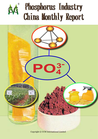

# Phosphorus Industry **China Monthly Report**

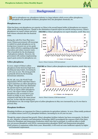

## **Background**

Based on phosphorus ore, phosphorus industry is a large industry which covers yellow phosphorus, phosphate acid, phosphate fertilizers, phosphate feed, fine phosphate chemicals, etc.

#### **Phosphorus ore**

China has been a net phosphorus ore exporter as China is the second largest holder of phosphorus ore resource of the world, following Morocco. Thanks to the elimination of special export tax and the strong recovery, China's phosphorus ore export volume and price **FIGURE 1:** China's phosphorus ore export situation, 2008~May 2011

both witness rebound after the financial crisis.

During the 12th Five-Year-Plan (2011- 2015), Chinese government will encourage to exploit low grade phosphorus ore by levying lower resource tax on low grade ore, which will drive exploiting technology innovation and reduce resource waste. This is beneficial for the development of phosphorus industry. However, the government will continue implementing export quota system for phosphorus ore.

#### **Yellow phosphorus**

In 2010, output of China's yellow phosphorus broke historical high level, touching 957,994 tonnes, increasing by 10.6% year on year. The strong growth is primarily driven by the booming downstream industries.

On Jul. 5th, 2011, the World Trade Organization (WTO) ruled that China's export restriction on yellow phosphorus is illegal. Though China has eliminated the special export tax and only levies 20% tax on export yellow phosphorus in 2011, the export volume of yellow phosphorus only accounted to 6,340 tonnes as of May in 2011, halved as compared with that in the same period last year. In line with the soaring price



*Source: China's Customs, CCM International*



 **FIGURE 2:** China's yellow phosphorus export situation, 2008~May 2011

 *Source: China's Customs, CCM International*

of phosphorus ore, the average export price of yellow phosphorus in May 2011 increased by 24.7% over that in previous May.

#### **Phosphate fertilizers**

Phosphate fertilizers are important for China to modernize its agriculture industry. In 2010, China totally produced 17.01 million tonnes (100%  $P_0Q_5$ ) phosphate fertilizers, increasing by 20.2% year-on-year.

Though the output witnessed fast growth, China's phosphate fertilizer industry has been overcapacity. On March 25, 2011, Ministry of Industry and Information Technology (MIIT) promulgated the exposure draft of the Entry Criteria for Phosphate and Ammonium Production which rules that in principal, it would not allow to build new wet process phosphoric acid (WPA), monoammonium phosphate (MAP) and diammonium phosphate (DAP) projects or expansions within three years. Meanwhile, it will weed out some inefficient capacity by higher environmental requirement.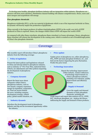

To develop more healthy, phosphate fertilizers industry will see integration within industry. Phosphorus ore resource will draw more attention. Distribution channel building will enhance competitiveness. Hence, more and more mergers and acquisitions will emerge.

#### **Fine phosphate chemicals**

Phosphorus trichloride (PCl<sub>3</sub>), as the raw material of glyphosate which is one of the important herbicide in China, its dynamic will heavily impact the production of glyphosate.

China currently is the largest producer of sodium tripolyphosphate (STPP) in the world, over 60% of STPP produced in China is exported. Hence, the changes within China's STPP will impact the world's STPP.

As compared with other flame retardants, phosphorus flame retardant is of many advantages. Hence, phosphorus flame retardant will witness fast development in the coming years, which is counted as one of breakthrough points of China's fine phosphate chemicals.

### **Coverage**

**T**his monthly report will introduce China's phosphorus industry from the following coverage:

**Policy & legislation** 

Present the latest policies and legislations released in China and abroad related to phosphorus industry, such as industry  $12^{th}$  Five-Year-Plan, industrial Entry Criteria, tax adjustments and other policies impacting the development of phosphorus industry.

#### **• Company dynamic**

Report the latest news about companies within China's phosphorus industry, such as new launch, company expansion, merger & acquisition, cooperation, etc. Find out stories behind the news, including company development strategy, related policy, global market situation, etc.

#### **Industry dynamic**

Introduce the development trend of phosphorus industry and dig out the investment opportunity within the industry.

#### **Price update**

Update prices of phosphorus ore, yellow phosphorus, PCl<sub>2</sub>, STPP and main phosphate fertilizers, etc., and find out the factors impacting the price fluctuation. Predict the price trend.

#### **Technology innovation**

Report the technology improvement within industry. Analyze influences of technology improvements on China's phosphorus industry, including cost reduction, quality improvement and efficiency increase.

#### **Supply & Demand**

Cover the supply and demand dynamics of main phosphate chemicals, including the

rough import and export data analysis of  $P_2O_5$ , STPP, PCl<sub>3</sub>, dicalcium phosphate, etc.. Analyze the factors influencing the supply and demand of these products.

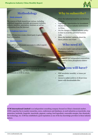

## **Methodology**

#### **Desk research**

The sources of desk research are various, including published magazines, journals, government statistics, industry statistics, association, seminars as well as information from the Internet.

#### **• Telephone interview**

CCM will interview events related party to gain firsthand information.

#### **• Questionnaire**

•

CCM will set questionnaire on events to collect experts' views and opinions.

#### **Face-to-face interview**

CM carries out face-to-face interviews with industry nsiders to make in-depth analysis & comment on elative issues.

#### **• Experts consultancy**

CCM has established long-term business relationships with experts in each industry via payment or information offering, and they would contribute stories or comments to CCM in return.

## **Why to subscribe?**

- Trace the industrial trend for you business decision.
- Capture the opportunities for investment.
- Master the current industry environment in China.
- Get the changes in related industry policy in time to avoid the potential business risks.
- Know the insiders' opinions about the latest policies and events.

## **Who need it?**

- Producers, traders and end users within phosphorus industry.
- Investors focusing on phosphorus industry.
- Government and independent corporations erested in China phosphorus relative industries

## **What you will have?**

- PDF newsletter monthly, 12 issues per annum.
- Access to online archives of all previous issues with downloadable files

**CCM International Limited** is an independent consulting company focused on China's chemicals market. CCM's expertise lies in market researches, news, conferences and databases, in such industries as insecticide, crop protection, herbicide, fungicide, insecticide, pigment, coating, food ingredient, renewable energies, fine chemicals, bio-technology, etc. CCM has established a good reputation as one of the key knowledge providers in these industry sectors.